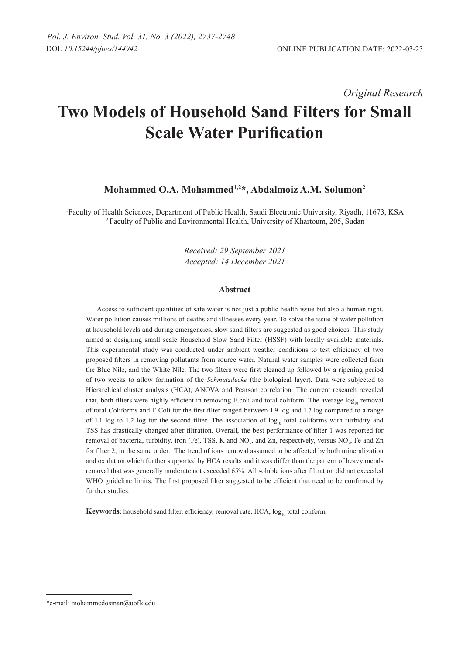*Original Research* 

# **Two Models of Household Sand Filters for Small Scale Water Purification**

# **Mohammed O.A. Mohammed1,2\*, Abdalmoiz A.M. Solumon2**

<sup>1</sup> Faculty of Health Sciences, Department of Public Health, Saudi Electronic University, Riyadh, 11673, KSA<br><sup>2</sup> Faculty of Public and Environmental Health, University of Khartoum, 205, Sudan

*Received: 29 September 2021 Accepted: 14 December 2021*

#### **Abstract**

Access to sufficient quantities of safe water is not just a public health issue but also a human right. Water pollution causes millions of deaths and illnesses every year. To solve the issue of water pollution at household levels and during emergencies, slow sand filters are suggested as good choices. This study aimed at designing small scale Household Slow Sand Filter (HSSF) with locally available materials. This experimental study was conducted under ambient weather conditions to test efficiency of two proposed filters in removing pollutants from source water. Natural water samples were collected from the Blue Nile, and the White Nile. The two filters were first cleaned up followed by a ripening period of two weeks to allow formation of the *Schmutzdecke* (the biological layer). Data were subjected to Hierarchical cluster analysis (HCA), ANOVA and Pearson correlation. The current research revealed that, both filters were highly efficient in removing E.coli and total coliform. The average  $log_{10}$  removal of total Coliforms and E Coli for the first filter ranged between 1.9 log and 1.7 log compared to a range of 1.1 log to 1.2 log for the second filter. The association of  $log_{10}$  total coliforms with turbidity and TSS has drastically changed after filtration. Overall, the best performance of filter 1 was reported for removal of bacteria, turbidity, iron (Fe), TSS, K and  $NO_2$ , and Zn, respectively, versus  $NO_2$ , Fe and Zn for filter 2, in the same order. The trend of ions removal assumed to be affected by both mineralization and oxidation which further supported by HCA results and it was differ than the pattern of heavy metals removal that was generally moderate not exceeded 65%. All soluble ions after filtration did not exceeded WHO guideline limits. The first proposed filter suggested to be efficient that need to be confirmed by further studies.

**Keywords**: household sand filter, efficiency, removal rate,  $HCA$ ,  $log_{10}$  total coliform

<sup>\*</sup>e-mail: mohammedosman@uofk.edu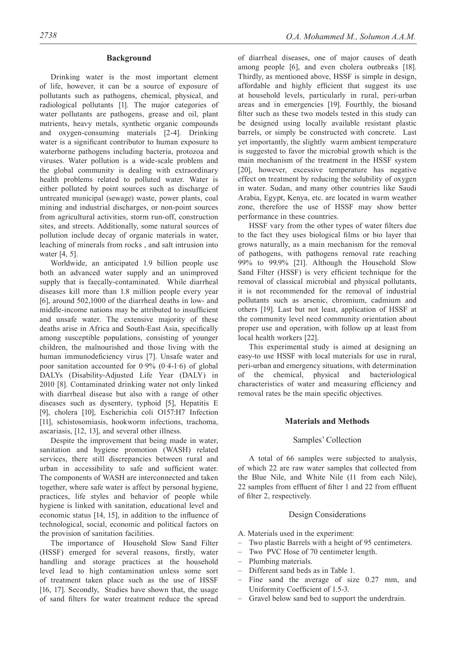#### **Background**

Drinking water is the most important element of life, however, it can be a source of exposure of pollutants such as pathogens, chemical, physical, and radiological pollutants [1]. The major categories of water pollutants are pathogens, grease and oil, plant nutrients, heavy metals, synthetic organic compounds and oxygen-consuming materials [2-4]. Drinking water is a significant contributor to human exposure to waterborne pathogens including bacteria, protozoa and viruses. Water pollution is a wide-scale problem and the global community is dealing with extraordinary health problems related to polluted water. Water is either polluted by point sources such as discharge of untreated municipal (sewage) waste, power plants, coal mining and industrial discharges, or non-point sources from agricultural activities, storm run-off, construction sites, and streets. Additionally, some natural sources of pollution include decay of organic materials in water, leaching of minerals from rocks , and salt intrusion into water [4, 5].

Worldwide, an anticipated 1.9 billion people use both an advanced water supply and an unimproved supply that is faecally-contaminated. While diarrheal diseases kill more than 1.8 million people every year [6], around 502,1000 of the diarrheal deaths in low- and middle-income nations may be attributed to insufficient and unsafe water. The extensive majority of these deaths arise in Africa and South-East Asia, specifically among susceptible populations, consisting of younger children, the malnourished and those living with the human immunodeficiency virus [7]. Unsafe water and poor sanitation accounted for  $0.9\%$   $(0.4-1.6)$  of global DALYs (Disability-Adjusted Life Year (DALY) in 2010 [8]. Contaminated drinking water not only linked with diarrheal disease but also with a range of other diseases such as dysentery, typhoid [5], Hepatitis E [9], cholera [10], Escherichia coli O157:H7 Infection [11], schistosomiasis, hookworm infections, trachoma, ascariasis, [12, 13], and several other illness.

Despite the improvement that being made in water, sanitation and hygiene promotion (WASH) related services, there still discrepancies between rural and urban in accessibility to safe and sufficient water. The components of WASH are interconnected and taken together, where safe water is affect by personal hygiene, practices, life styles and behavior of people while hygiene is linked with sanitation, educational level and economic status [14, 15], in addition to the influence of technological, social, economic and political factors on the provision of sanitation facilities.

The importance of Household Slow Sand Filter (HSSF) emerged for several reasons, firstly, water handling and storage practices at the household level lead to high contamination unless some sort of treatment taken place such as the use of HSSF [16, 17]. Secondly, Studies have shown that, the usage of sand filters for water treatment reduce the spread

of diarrheal diseases, one of major causes of death among people [6], and even cholera outbreaks [18]. Thirdly, as mentioned above, HSSF is simple in design, affordable and highly efficient that suggest its use at household levels, particularly in rural, peri-urban areas and in emergencies [19]. Fourthly, the biosand filter such as these two models tested in this study can be designed using locally available resistant plastic barrels, or simply be constructed with concrete. Last yet importantly, the slightly warm ambient temperature is suggested to favor the microbial growth which is the main mechanism of the treatment in the HSSF system [20], however, excessive temperature has negative effect on treatment by reducing the solubility of oxygen in water. Sudan, and many other countries like Saudi Arabia, Egypt, Kenya, etc. are located in warm weather zone, therefore the use of HSSF may show better performance in these countries.

HSSF vary from the other types of water filters due to the fact they uses biological films or bio layer that grows naturally, as a main mechanism for the removal of pathogens, with pathogens removal rate reaching 99% to 99.9% [21]. Although the Household Slow Sand Filter (HSSF) is very efficient technique for the removal of classical microbial and physical pollutants, it is not recommended for the removal of industrial pollutants such as arsenic, chromium, cadmium and others [19]. Last but not least, application of HSSF at the community level need community orientation about proper use and operation, with follow up at least from local health workers [22].

This experimental study is aimed at designing an easy-to use HSSF with local materials for use in rural, peri-urban and emergency situations, with determination of the chemical, physical and bacteriological characteristics of water and measuring efficiency and removal rates be the main specific objectives.

# **Materials and Methods**

#### Samples' Collection

A total of 66 samples were subjected to analysis, of which 22 are raw water samples that collected from the Blue Nile, and White Nile (11 from each Nile), 22 samples from effluent of filter 1 and 22 from effluent of filter 2, respectively.

## Design Considerations

- A. Materials used in the experiment:
- Two plastic Barrels with a height of 95 centimeters.
- Two PVC Hose of 70 centimeter length.
- Plumbing materials.
- Different sand beds as in Table 1.
- Fine sand the average of size 0.27 mm, and Uniformity Coefficient of 1.5-3.
- Gravel below sand bed to support the underdrain.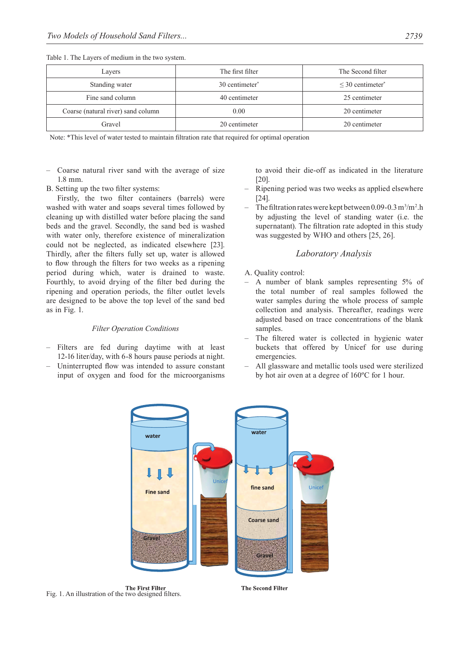Table 1. The Layers of medium in the two system.

| Lavers                             | The first filter           | The Second filter                 |
|------------------------------------|----------------------------|-----------------------------------|
| Standing water                     | 30 centimeter <sup>*</sup> | $\leq$ 30 centimeter <sup>*</sup> |
| Fine sand column                   | 40 centimeter              | 25 centimeter                     |
| Coarse (natural river) sand column | 0.00                       | 20 centimeter                     |
| Gravel                             | 20 centimeter              | 20 centimeter                     |

Note: \*This level of water tested to maintain filtration rate that required for optimal operation

- Coarse natural river sand with the average of size 1.8 mm.
- B. Setting up the two filter systems:

Firstly, the two filter containers (barrels) were washed with water and soaps several times followed by cleaning up with distilled water before placing the sand beds and the gravel. Secondly, the sand bed is washed with water only, therefore existence of mineralization could not be neglected, as indicated elsewhere [23]. Thirdly, after the filters fully set up, water is allowed to flow through the filters for two weeks as a ripening period during which, water is drained to waste. Fourthly, to avoid drying of the filter bed during the ripening and operation periods, the filter outlet levels are designed to be above the top level of the sand bed as in Fig. 1.

#### *Filter Operation Conditions*

- Filters are fed during daytime with at least 12-16 liter/day, with 6-8 hours pause periods at night.
- Uninterrupted flow was intended to assure constant input of oxygen and food for the microorganisms

to avoid their die-off as indicated in the literature [20].

- Ripening period was two weeks as applied elsewhere [24].
- The filtration rates were kept between 0.09-0.3 m<sup>3</sup>/m<sup>2</sup>.h by adjusting the level of standing water (i.e. the supernatant). The filtration rate adopted in this study was suggested by WHO and others [25, 26].

# *Laboratory Analysis*

- A. Quality control:
- A number of blank samples representing 5% of the total number of real samples followed the water samples during the whole process of sample collection and analysis. Thereafter, readings were adjusted based on trace concentrations of the blank samples.
- The filtered water is collected in hygienic water buckets that offered by Unicef for use during emergencies.
- All glassware and metallic tools used were sterilized by hot air oven at a degree of 160ºC for 1 hour.



The First Filter<br>Fig. 1. An illustration of the two designed filters.

**The Second Filter**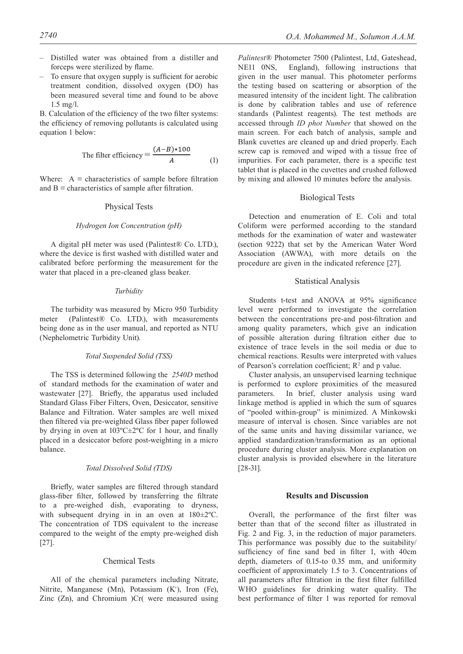- Distilled water was obtained from a distiller and forceps were sterilized by flame.
- To ensure that oxygen supply is sufficient for aerobic treatment condition, dissolved oxygen (DO) has been measured several time and found to be above 1.5 mg/l.

B. Calculation of the efficiency of the two filter systems: the efficiency of removing pollutants is calculated using equation 1 below:

The filter efficiency = 
$$
\frac{(A-B)*100}{A}
$$
 (1)

Where:  $A \equiv$  characteristics of sample before filtration and  $B \equiv$  characteristics of sample after filtration.

#### Physical Tests

#### *Hydrogen Ion Concentration (pH)*

A digital pH meter was used (Palintest® Co. LTD.), where the device is first washed with distilled water and calibrated before performing the measurement for the water that placed in a pre-cleaned glass beaker.

#### *Turbidity*

The turbidity was measured by Micro 950 Turbidity meter (Palintest® Co. LTD.), with measurements being done as in the user manual, and reported as NTU (Nephelometric Turbidity Unit).

#### *Total Suspended Solid (TSS)*

The TSS is determined following the *2540D* method of standard methods for the examination of water and wastewater [27]. Briefly, the apparatus used included Standard Glass Fiber Filters, Oven, Desiccator, sensitive Balance and Filtration. Water samples are well mixed then filtered via pre-weighted Glass fiber paper followed by drying in oven at 103ºC±2ºC for 1 hour, and finally placed in a desiccator before post-weighting in a micro balance.

#### *Total Dissolved Solid (TDS)*

Briefly, water samples are filtered through standard glass-fiber filter, followed by transferring the filtrate to a pre-weighed dish, evaporating to dryness, with subsequent drying in in an oven at 180±2ºC. The concentration of TDS equivalent to the increase compared to the weight of the empty pre-weighed dish [27].

#### Chemical Tests

All of the chemical parameters including Nitrate, Nitrite, Manganese (Mn), Potassium (K<sup>+</sup>), Iron (Fe), Zinc (Zn), and Chromium )Cr( were measured using

*Palintest®* Photometer 7500 (Palintest, Ltd, Gateshead, NE11 0NS, England), following instructions that given in the user manual. This photometer performs the testing based on scattering or absorption of the measured intensity of the incident light. The calibration is done by calibration tables and use of reference standards (Palintest reagents). The test methods are accessed through *ID phot Number* that showed on the main screen. For each batch of analysis, sample and Blank cuvettes are cleaned up and dried properly. Each screw cap is removed and wiped with a tissue free of impurities. For each parameter, there is a specific test tablet that is placed in the cuvettes and crushed followed by mixing and allowed 10 minutes before the analysis.

#### Biological Tests

Detection and enumeration of E. Coli and total Coliform were performed according to the standard methods for the examination of water and wastewater (section 9222) that set by the American Water Word Association (AWWA), with more details on the procedure are given in the indicated reference [27].

# Statistical Analysis

Students t-test and ANOVA at 95% significance level were performed to investigate the correlation between the concentrations pre-and post-filtration and among quality parameters, which give an indication of possible alteration during filtration either due to existence of trace levels in the soil media or due to chemical reactions. Results were interpreted with values of Pearson's correlation coefficient;  $R^2$  and p value.

Cluster analysis, an unsupervised learning technique is performed to explore proximities of the measured parameters. In brief, cluster analysis using ward linkage method is applied in which the sum of squares of "pooled within-group" is minimized. A Minkowski measure of interval is chosen. Since variables are not of the same units and having dissimilar variance, we applied standardization/transformation as an optional procedure during cluster analysis. More explanation on cluster analysis is provided elsewhere in the literature [28-31].

#### **Results and Discussion**

Overall, the performance of the first filter was better than that of the second filter as illustrated in Fig. 2 and Fig. 3, in the reduction of major parameters. This performance was possibly due to the suitability/ sufficiency of fine sand bed in filter 1, with 40cm depth, diameters of 0.15-to 0.35 mm, and uniformity coefficient of approximately 1.5 to 3. Concentrations of all parameters after filtration in the first filter fulfilled WHO guidelines for drinking water quality. The best performance of filter 1 was reported for removal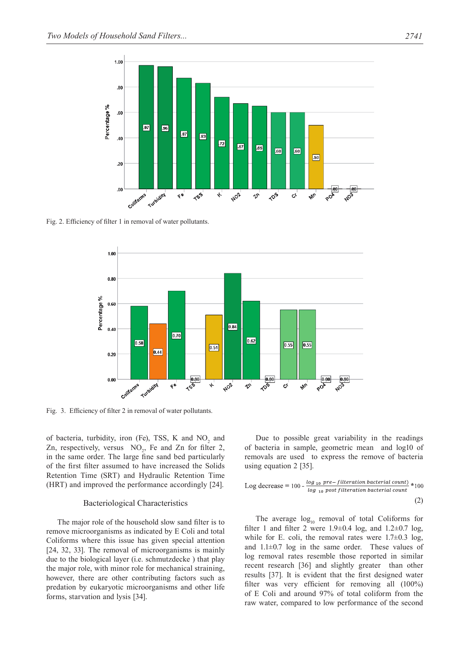

Fig. 2. Efficiency of filter 1 in removal of water pollutants.



Fig. 3. Efficiency of filter 2 in removal of water pollutants.

of bacteria, turbidity, iron (Fe), TSS, K and  $NO<sub>2</sub>$  and Zn, respectively, versus  $NO_2$ , Fe and Zn for filter 2, in the same order. The large fine sand bed particularly of the first filter assumed to have increased the Solids Retention Time (SRT) and Hydraulic Retention Time (HRT) and improved the performance accordingly [24].

#### Bacteriological Characteristics

The major role of the household slow sand filter is to remove microorganisms as indicated by E Coli and total Coliforms where this issue has given special attention [24, 32, 33]. The removal of microorganisms is mainly due to the biological layer (i.e. schmutzdecke ) that play the major role, with minor role for mechanical straining, however, there are other contributing factors such as predation by eukaryotic microorganisms and other life forms, starvation and lysis [34].

Due to possible great variability in the readings of bacteria in sample, geometric mean and log10 of removals are used to express the remove of bacteria using equation 2 [35].

Log decrease = 
$$
100 - \frac{\log_{10} \text{pre} - \text{fitteration bacterial count}}{\log_{10} \text{post filtration bacterial count}}
$$
 \*100 (2)

The average  $log_{10}$  removal of total Coliforms for filter 1 and filter 2 were  $1.9\pm0.4$  log, and  $1.2\pm0.7$  log, while for E. coli, the removal rates were  $1.7\pm0.3$  log, and  $1.1\pm0.7$  log in the same order. These values of log removal rates resemble those reported in similar recent research [36] and slightly greater than other results [37]. It is evident that the first designed water filter was very efficient for removing all (100%) of E Coli and around 97% of total coliform from the raw water, compared to low performance of the second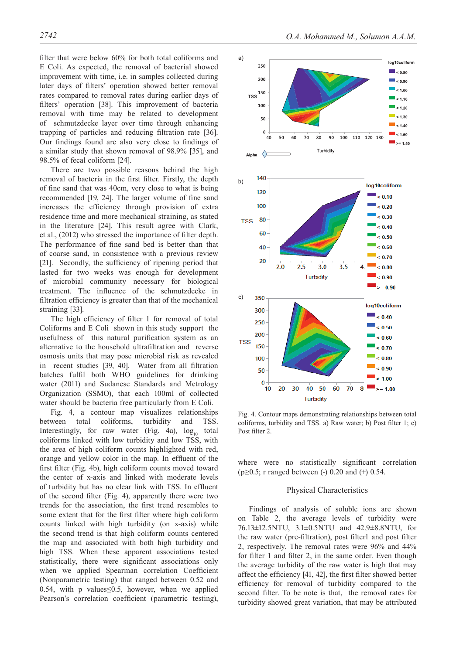filter that were below 60% for both total coliforms and E Coli. As expected, the removal of bacterial showed improvement with time, i.e. in samples collected during later days of filters' operation showed better removal rates compared to removal rates during earlier days of filters' operation [38]. This improvement of bacteria removal with time may be related to development of schmutzdecke layer over time through enhancing trapping of particles and reducing filtration rate [36]. Our findings found are also very close to findings of a similar study that shown removal of 98.9% [35], and 98.5% of fecal coliform [24].

There are two possible reasons behind the high removal of bacteria in the first filter. Firstly, the depth of fine sand that was 40cm, very close to what is being recommended [19, 24]. The larger volume of fine sand increases the efficiency through provision of extra residence time and more mechanical straining, as stated in the literature [24]. This result agree with Clark, et al., (2012) who stressed the importance of filter depth. The performance of fine sand bed is better than that of coarse sand, in consistence with a previous review [21]. Secondly, the sufficiency of ripening period that lasted for two weeks was enough for development of microbial community necessary for biological treatment. The influence of the schmutzdecke in filtration efficiency is greater than that of the mechanical straining [33].

The high efficiency of filter 1 for removal of total Coliforms and E Coli shown in this study support the usefulness of this natural purification system as an alternative to the household ultrafiltration and reverse osmosis units that may pose microbial risk as revealed in recent studies [39, 40]. Water from all filtration batches fulfil both WHO guidelines for drinking water (2011) and Sudanese Standards and Metrology Organization (SSMO), that each 100ml of collected water should be bacteria free particularly from E Coli.

Fig. 4, a contour map visualizes relationships between total coliforms, turbidity and TSS. Interestingly, for raw water (Fig. 4a),  $log_{10}$  total coliforms linked with low turbidity and low TSS, with the area of high coliform counts highlighted with red, orange and yellow color in the map. In effluent of the first filter (Fig. 4b), high coliform counts moved toward the center of x-axis and linked with moderate levels of turbidity but has no clear link with TSS. In effluent of the second filter (Fig. 4), apparently there were two trends for the association, the first trend resembles to some extent that for the first filter where high coliform counts linked with high turbidity (on x-axis) while the second trend is that high coliform counts centered the map and associated with both high turbidity and high TSS. When these apparent associations tested statistically, there were significant associations only when we applied Spearman correlation Coefficient (Nonparametric testing) that ranged between 0.52 and 0.54, with p values $\leq$ 0.5, however, when we applied Pearson's correlation coefficient (parametric testing),



Fig. 4. Contour maps demonstrating relationships between total coliforms, turbidity and TSS. a) Raw water; b) Post filter 1; c) Post filter 2.

where were no statistically significant correlation (p $\geq$ 0.5; r ranged between (-) 0.20 and (+) 0.54.

# Physical Characteristics

Findings of analysis of soluble ions are shown on Table 2, the average levels of turbidity were 76.13±12.5NTU, 3.1±0.5NTU and 42.9±8.8NTU, for the raw water (pre-filtration), post filter1 and post filter 2, respectively. The removal rates were 96% and 44% for filter 1 and filter 2, in the same order. Even though the average turbidity of the raw water is high that may affect the efficiency [41, 42], the first filter showed better efficiency for removal of turbidity compared to the second filter. To be note is that, the removal rates for turbidity showed great variation, that may be attributed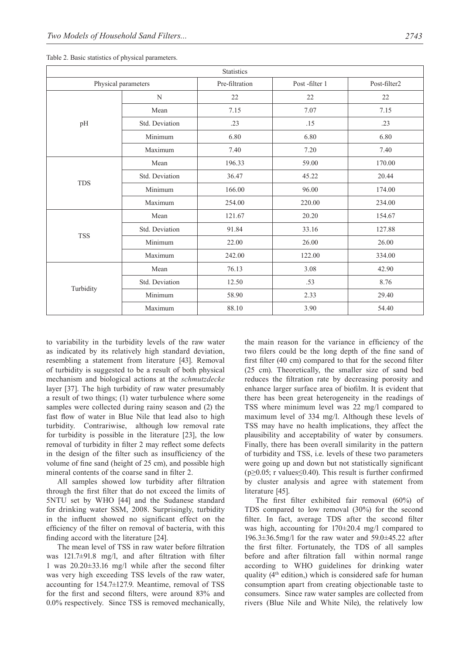| <b>Statistics</b>   |                |                |               |              |  |  |
|---------------------|----------------|----------------|---------------|--------------|--|--|
| Physical parameters |                | Pre-filtration | Post-filter 1 | Post-filter2 |  |  |
| pH                  | N              | 22             | 22            | 22           |  |  |
|                     | Mean           | 7.15           | 7.07          | 7.15         |  |  |
|                     | Std. Deviation | .23            | .15           | .23          |  |  |
|                     | Minimum        | 6.80           | 6.80          | 6.80         |  |  |
|                     | Maximum        | 7.40           | 7.20          | 7.40         |  |  |
| <b>TDS</b>          | Mean           | 196.33         | 59.00         | 170.00       |  |  |
|                     | Std. Deviation | 36.47          | 45.22         | 20.44        |  |  |
|                     | Minimum        | 166.00         | 96.00         | 174.00       |  |  |
|                     | Maximum        | 254.00         | 220.00        | 234.00       |  |  |
| <b>TSS</b>          | Mean           | 121.67         | 20.20         | 154.67       |  |  |
|                     | Std. Deviation | 91.84          | 33.16         | 127.88       |  |  |
|                     | Minimum        | 22.00          | 26.00         | 26.00        |  |  |
|                     | Maximum        | 242.00         | 122.00        | 334.00       |  |  |
| Turbidity           | Mean           | 76.13          | 3.08          | 42.90        |  |  |
|                     | Std. Deviation | 12.50          | .53           | 8.76         |  |  |
|                     | Minimum        | 58.90          | 2.33          | 29.40        |  |  |
|                     | Maximum        | 88.10          | 3.90          | 54.40        |  |  |

Table 2. Basic statistics of physical parameters.

to variability in the turbidity levels of the raw water as indicated by its relatively high standard deviation, resembling a statement from literature [43]. Removal of turbidity is suggested to be a result of both physical mechanism and biological actions at the *schmutzdecke* layer [37]. The high turbidity of raw water presumably a result of two things; (1) water turbulence where some samples were collected during rainy season and (2) the fast flow of water in Blue Nile that lead also to high turbidity. Contrariwise, although low removal rate for turbidity is possible in the literature [23], the low removal of turbidity in filter 2 may reflect some defects in the design of the filter such as insufficiency of the volume of fine sand (height of 25 cm), and possible high mineral contents of the coarse sand in filter 2.

All samples showed low turbidity after filtration through the first filter that do not exceed the limits of 5NTU set by WHO [44] and the Sudanese standard for drinking water SSM, 2008. Surprisingly, turbidity in the influent showed no significant effect on the efficiency of the filter on removal of bacteria, with this finding accord with the literature [24].

The mean level of TSS in raw water before filtration was 121.7±91.8 mg/l, and after filtration with filter 1 was 20.20±33.16 mg/l while after the second filter was very high exceeding TSS levels of the raw water, accounting for 154.7±127.9. Meantime, removal of TSS for the first and second filters, were around 83% and 0.0% respectively. Since TSS is removed mechanically, the main reason for the variance in efficiency of the two filers could be the long depth of the fine sand of first filter (40 cm) compared to that for the second filter (25 cm). Theoretically, the smaller size of sand bed reduces the filtration rate by decreasing porosity and enhance larger surface area of biofilm. It is evident that there has been great heterogeneity in the readings of TSS where minimum level was 22 mg/l compared to maximum level of 334 mg/l. Although these levels of TSS may have no health implications, they affect the plausibility and acceptability of water by consumers. Finally, there has been overall similarity in the pattern of turbidity and TSS, i.e. levels of these two parameters were going up and down but not statistically significant ( $p \ge 0.05$ ; r values  $\le 0.40$ ). This result is further confirmed by cluster analysis and agree with statement from literature [45].

The first filter exhibited fair removal (60%) of TDS compared to low removal (30%) for the second filter. In fact, average TDS after the second filter was high, accounting for 170±20.4 mg/l compared to 196.3±36.5mg/l for the raw water and 59.0±45.22 after the first filter. Fortunately, the TDS of all samples before and after filtration fall within normal range according to WHO guidelines for drinking water quality (4th edition,) which is considered safe for human consumption apart from creating objectionable taste to consumers. Since raw water samples are collected from rivers (Blue Nile and White Nile), the relatively low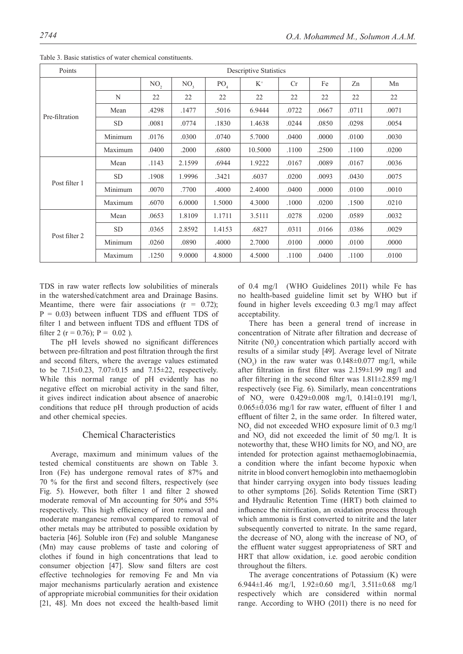| Points         | <b>Descriptive Statistics</b> |                 |                 |                 |         |       |       |       |       |
|----------------|-------------------------------|-----------------|-----------------|-----------------|---------|-------|-------|-------|-------|
| Pre-filtration |                               | NO <sub>2</sub> | NO <sub>3</sub> | PO <sub>4</sub> | $K^+$   | Cr    | Fe    | Zn    | Mn    |
|                | N                             | 22              | 22              | 22              | 22      | 22    | 22    | 22    | 22    |
|                | Mean                          | .4298           | .1477           | .5016           | 6.9444  | .0722 | .0667 | .0711 | .0071 |
|                | <b>SD</b>                     | .0081           | .0774           | .1830           | 1.4638  | .0244 | .0850 | .0298 | .0054 |
|                | Minimum                       | .0176           | .0300           | .0740           | 5.7000  | .0400 | .0000 | .0100 | .0030 |
|                | Maximum                       | .0400           | .2000           | .6800           | 10.5000 | .1100 | .2500 | .1100 | .0200 |
| Post filter 1  | Mean                          | .1143           | 2.1599          | .6944           | 1.9222  | .0167 | .0089 | .0167 | .0036 |
|                | <b>SD</b>                     | .1908           | 1.9996          | .3421           | .6037   | .0200 | .0093 | .0430 | .0075 |
|                | Minimum                       | .0070           | .7700           | .4000           | 2.4000  | .0400 | .0000 | .0100 | .0010 |
|                | Maximum                       | .6070           | 6.0000          | 1.5000          | 4.3000  | .1000 | .0200 | .1500 | .0210 |
| Post filter 2  | Mean                          | .0653           | 1.8109          | 1.1711          | 3.5111  | .0278 | .0200 | .0589 | .0032 |
|                | <b>SD</b>                     | .0365           | 2.8592          | 1.4153          | .6827   | .0311 | .0166 | .0386 | .0029 |
|                | Minimum                       | .0260           | .0890           | .4000           | 2.7000  | .0100 | .0000 | .0100 | .0000 |
|                | Maximum                       | .1250           | 9.0000          | 4.8000          | 4.5000  | .1100 | .0400 | .1100 | .0100 |

Table 3. Basic statistics of water chemical constituents.

TDS in raw water reflects low solubilities of minerals in the watershed/catchment area and Drainage Basins. Meantime, there were fair associations  $(r = 0.72)$ ;  $P = 0.03$ ) between influent TDS and effluent TDS of filter 1 and between influent TDS and effluent TDS of filter 2 ( $r = 0.76$ );  $P = 0.02$ ).

The pH levels showed no significant differences between pre-filtration and post filtration through the first and second filters, where the average values estimated to be  $7.15\pm0.23$ ,  $7.07\pm0.15$  and  $7.15\pm22$ , respectively. While this normal range of pH evidently has no negative effect on microbial activity in the sand filter, it gives indirect indication about absence of anaerobic conditions that reduce pH through production of acids and other chemical species.

# Chemical Characteristics

Average, maximum and minimum values of the tested chemical constituents are shown on Table 3. Iron (Fe) has undergone removal rates of 87% and 70 % for the first and second filters, respectively (see Fig. 5). However, both filter 1 and filter 2 showed moderate removal of Mn accounting for 50% and 55% respectively. This high efficiency of iron removal and moderate manganese removal compared to removal of other metals may be attributed to possible oxidation by bacteria [46]. Soluble iron (Fe) and soluble Manganese (Mn) may cause problems of taste and coloring of clothes if found in high concentrations that lead to consumer objection [47]. Slow sand filters are cost effective technologies for removing Fe and Mn via major mechanisms particularly aeration and existence of appropriate microbial communities for their oxidation [21, 48]. Mn does not exceed the health-based limit

of 0.4 mg/l (WHO Guidelines 2011) while Fe has no health-based guideline limit set by WHO but if found in higher levels exceeding 0.3 mg/l may affect acceptability.

There has been a general trend of increase in concentration of Nitrate after filtration and decrease of Nitrite  $(NO<sub>2</sub>)$  concentration which partially accord with results of a similar study [49]. Average level of Nitrate (NO<sub>3</sub>) in the raw water was  $0.148 \pm 0.077$  mg/l, while after filtration in first filter was 2.159±1.99 mg/l and after filtering in the second filter was 1.811±2.859 mg/l respectively (see Fig. 6). Similarly, mean concentrations of  $NO_2$  were  $0.429 \pm 0.008$  mg/l,  $0.141 \pm 0.191$  mg/l, 0.065±0.036 mg/l for raw water, effluent of filter 1 and effluent of filter 2, in the same order. In filtered water,  $NO<sub>2</sub>$  did not exceeded WHO exposure limit of 0.3 mg/l and  $NO_3$  did not exceeded the limit of 50 mg/l. It is noteworthy that, these WHO limits for  $NO<sub>3</sub>$  and  $NO<sub>2</sub>$  are intended for protection against methaemoglobinaemia, a condition where the infant become hypoxic when nitrite in blood convert hemoglobin into methaemoglobin that hinder carrying oxygen into body tissues leading to other symptoms [26]. Solids Retention Time (SRT) and Hydraulic Retention Time (HRT) both claimed to influence the nitrification, an oxidation process through which ammonia is first converted to nitrite and the later subsequently converted to nitrate. In the same regard, the decrease of  $NO_2$  along with the increase of  $NO_3$  of the effluent water suggest appropriateness of SRT and HRT that allow oxidation, i.e. good aerobic condition throughout the filters.

The average concentrations of Potassium (K) were 6.944±1.46 mg/l, 1.92±0.60 mg/l, 3.511±0.68 mg/l respectively which are considered within normal range. According to WHO (2011) there is no need for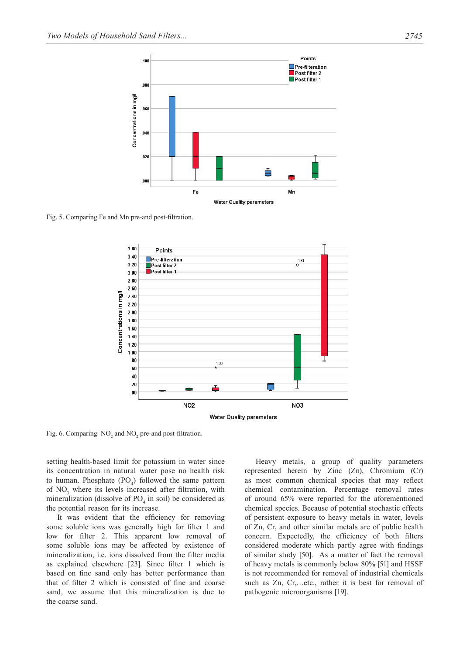

Fig. 5. Comparing Fe and Mn pre-and post-filtration.



Fig. 6. Comparing  $NO_2$  and  $NO_2$  pre-and post-filtration.

setting health-based limit for potassium in water since its concentration in natural water pose no health risk to human. Phosphate  $(PO_4)$  followed the same pattern of NO<sub>3</sub> where its levels increased after filtration, with mineralization (dissolve of  $PO_4$  in soil) be considered as the potential reason for its increase.

It was evident that the efficiency for removing some soluble ions was generally high for filter 1 and low for filter 2. This apparent low removal of some soluble ions may be affected by existence of mineralization, i.e. ions dissolved from the filter media as explained elsewhere [23]. Since filter 1 which is based on fine sand only has better performance than that of filter 2 which is consisted of fine and coarse sand, we assume that this mineralization is due to the coarse sand.

Heavy metals, a group of quality parameters represented herein by Zinc (Zn), Chromium (Cr) as most common chemical species that may reflect chemical contamination. Percentage removal rates of around 65% were reported for the aforementioned chemical species. Because of potential stochastic effects of persistent exposure to heavy metals in water, levels of Zn, Cr, and other similar metals are of public health concern. Expectedly, the efficiency of both filters considered moderate which partly agree with findings of similar study [50]. As a matter of fact the removal of heavy metals is commonly below 80% [51] and HSSF is not recommended for removal of industrial chemicals such as Zn, Cr,…etc., rather it is best for removal of pathogenic microorganisms [19].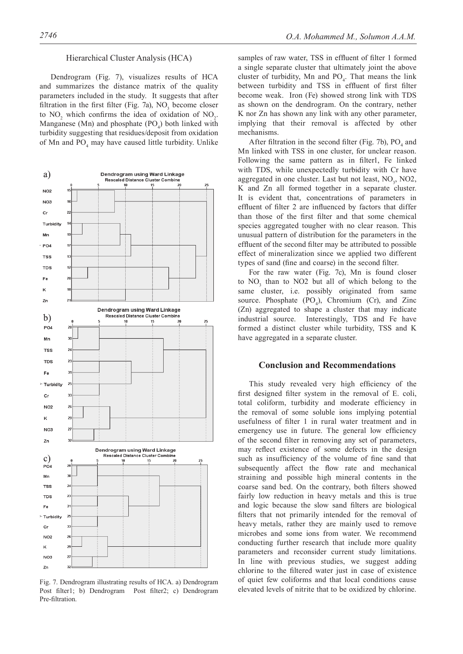#### Hierarchical Cluster Analysis (HCA)

Dendrogram (Fig. 7), visualizes results of HCA and summarizes the distance matrix of the quality parameters included in the study. It suggests that after filtration in the first filter (Fig. 7a),  $NO<sub>3</sub>$  become closer to  $NO_2$  which confirms the idea of oxidation of  $NO_2$ . Manganese (Mn) and phosphate  $(PO_4)$  both linked with turbidity suggesting that residues/deposit from oxidation of Mn and  $PO_4$  may have caused little turbidity. Unlike



Fig. 7. Dendrogram illustrating results of HCA. a) Dendrogram Post filter1; b) Dendrogram Post filter2; c) Dendrogram Pre-filtration.

samples of raw water, TSS in effluent of filter 1 formed a single separate cluster that ultimately joint the above cluster of turbidity, Mn and  $PO_4$ . That means the link between turbidity and TSS in effluent of first filter become weak. Iron (Fe) showed strong link with TDS as shown on the dendrogram. On the contrary, nether K nor Zn has shown any link with any other parameter, implying that their removal is affected by other mechanisms.

After filtration in the second filter (Fig. 7b),  $PO_4$  and Mn linked with TSS in one cluster, for unclear reason. Following the same pattern as in filter1, Fe linked with TDS, while unexpectedly turbidity with Cr have aggregated in one cluster. Last but not least,  $NO<sub>3</sub>$ ,  $NO<sub>2</sub>$ , K and Zn all formed together in a separate cluster. It is evident that, concentrations of parameters in effluent of filter 2 are influenced by factors that differ than those of the first filter and that some chemical species aggregated tougher with no clear reason. This unusual pattern of distribution for the parameters in the effluent of the second filter may be attributed to possible effect of mineralization since we applied two different types of sand (fine and coarse) in the second filter.

For the raw water (Fig. 7c), Mn is found closer to  $NO<sub>3</sub>$  than to  $NO2$  but all of which belong to the same cluster, i.e. possibly originated from same source. Phosphate  $(PO_4)$ , Chromium (Cr), and Zinc (Zn) aggregated to shape a cluster that may indicate industrial source. Interestingly, TDS and Fe have formed a distinct cluster while turbidity, TSS and K have aggregated in a separate cluster.

# **Conclusion and Recommendations**

This study revealed very high efficiency of the first designed filter system in the removal of E. coli, total coliform, turbidity and moderate efficiency in the removal of some soluble ions implying potential usefulness of filter 1 in rural water treatment and in emergency use in future. The general low efficiency of the second filter in removing any set of parameters, may reflect existence of some defects in the design such as insufficiency of the volume of fine sand that subsequently affect the flow rate and mechanical straining and possible high mineral contents in the coarse sand bed. On the contrary, both filters showed fairly low reduction in heavy metals and this is true and logic because the slow sand filters are biological filters that not primarily intended for the removal of heavy metals, rather they are mainly used to remove microbes and some ions from water. We recommend conducting further research that include more quality parameters and reconsider current study limitations. In line with previous studies, we suggest adding chlorine to the filtered water just in case of existence of quiet few coliforms and that local conditions cause elevated levels of nitrite that to be oxidized by chlorine.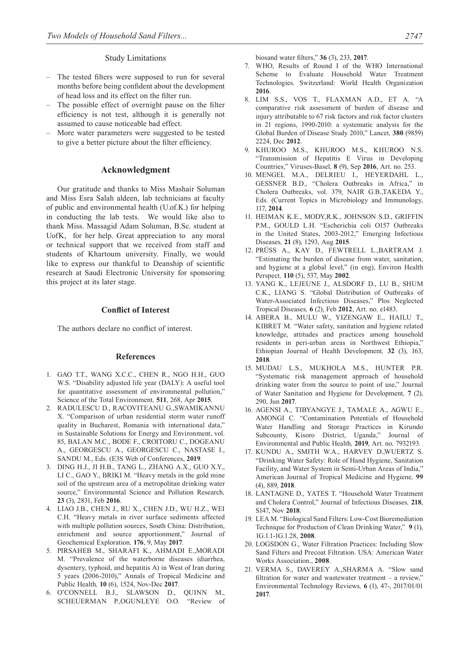#### Study Limitations

- The tested filters were supposed to run for several months before being confident about the development of head loss and its effect on the filter run.
- The possible effect of overnight pause on the filter efficiency is not test, although it is generally not assumed to cause noticeable bad effect.
- More water parameters were suggested to be tested to give a better picture about the filter efficiency.

# **Acknowledgment**

Our gratitude and thanks to Miss Mashair Soluman and Miss Esra Salah aldeen, lab technicians at faculty of public and environmental health (U.of.K.) for helping in conducting the lab tests. We would like also to thank Miss. Massagid Adam Soluman, B.Sc. student at UofK, for her help. Great appreciation to any moral or technical support that we received from staff and students of Khartoum university. Finally, we would like to express our thankful to Deanship of scientific research at Saudi Electronic University for sponsoring this project at its later stage.

## **Conflict of Interest**

The authors declare no conflict of interest.

# **References**

- 1. GAO T.T., WANG X.C.C., CHEN R., NGO H.H., GUO W.S. "Disability adjusted life year (DALY): A useful tool for quantitative assessment of environmental pollution," Science of the Total Environment*,* **511**, 268, Apr **2015**.
- 2. RADULESCU D., RACOVITEANU G.,SWAMIKANNU X. "Comparison of urban residential storm water runoff quality in Bucharest, Romania with international data," in Sustainable Solutions for Energy and Environment, vol. 85, BALAN M.C., BODE F., CROITORU C., DOGEANU A., GEORGESCU A., GEORGESCU C., NASTASE I., SANDU M., Eds. (E3S Web of Conferences, **2019**.
- 3. DING H.J., JI H.B., TANG L., ZHANG A.X., GUO X.Y., LI C., GAO Y., BRIKI M. "Heavy metals in the gold mine soil of the upstream area of a metropolitan drinking water source," Environmental Science and Pollution Research*,*  **23** (3), 2831, Feb **2016**.
- 4. LIAO J.B., CHEN J., RU X., CHEN J.D., WU H.Z., WEI C.H. "Heavy metals in river surface sediments affected with multiple pollution sources, South China: Distribution, enrichment and source apportionment," Journal of Geochemical Exploration*,* **176**, 9, May **2017**.
- 5. PIRSAHEB M., SHARAFI K., AHMADI E.,MORADI M. "Prevalence of the waterborne diseases (diarrhea, dysentery, typhoid, and hepatitis A) in West of Iran during 5 years (2006-2010)," Annals of Tropical Medicine and Public Health*,* **10** (6), 1524, Nov-Dec **2017**.
- 6. O'CONNELL B.J., SLAWSON D., QUINN M., SCHEUERMAN P.,OGUNLEYE O.O. "Review of

biosand water filters," **36** (3), 233, **2017**.

- 7. WHO, Results of Round I of the WHO International Scheme to Evaluate Household Water Treatment Technologies. Switzerland: World Health Organization **2016**.
- 8. LIM S.S., VOS T., FLAXMAN A.D., ET A. "A comparative risk assessment of burden of disease and injury attributable to 67 risk factors and risk factor clusters in 21 regions, 1990-2010: a systematic analysis for the Global Burden of Disease Study 2010," Lancet*,* **380** (9859) 2224, Dec **2012**.
- 9. KHUROO M.S., KHUROO M.S., KHUROO N.S. "Transmission of Hepatitis E Virus in Developing Countries," Viruses-Basel*,* **8** (9), Sep **2016**, Art. no. 253.
- 10. MENGEL M.A., DELRIEU I., HEYERDAHL L., GESSNER B.D., "Cholera Outbreaks in Africa," in Cholera Outbreaks, vol. 379, NAIR G.B.,TAKEDA Y., Eds. (Current Topics in Microbiology and Immunology, 117, **2014**.
- 11. HEIMAN K.E., MODY,R.K., JOHNSON S.D., GRIFFIN P.M., GOULD L.H. "Escherichia coli O157 Outbreaks in the United States, 2003-2012," Emerging Infectious Diseases*,* **21** (8), 1293, Aug **2015**.
- 12. PRÜSS A., KAY D., FEWTRELL L.,BARTRAM J. "Estimating the burden of disease from water, sanitation, and hygiene at a global level," (in eng), Environ Health Perspect*,* **110** (5), 537, May **2002**.
- 13. YANG K., LEJEUNE J., ALSDORF D., LU B., SHUM C.K., LIANG S. "Global Distribution of Outbreaks of Water-Associated Infectious Diseases," Plos Neglected Tropical Diseases*,* **6** (2), Feb **2012**, Art. no. e1483.
- 14. ABERA B., MULU W., YIZENGAW E., HAILU T., KIBRET M. "Water safety, sanitation and hygiene related knowledge, attitudes and practices among household residents in peri-urban areas in Northwest Ethiopia," Ethiopian Journal of Health Development*,* **32** (3), 163, **2018**.
- 15. MUDAU L.S., MUKHOLA M.S., HUNTER P.R. "Systematic risk management approach of household drinking water from the source to point of use," Journal of Water Sanitation and Hygiene for Development*,* **7** (2), 290, Jun **2017**.
- 16. AGENSI A., TIBYANGYE J., TAMALE A., AGWU E., AMONGI C. "Contamination Potentials of Household Water Handling and Storage Practices in Kirundo Subcounty, Kisoro District, Uganda," Journal of Environmental and Public Health*,* **2019**, Art. no. 7932193.
- 17. KUNDU A., SMITH W.A., HARVEY D.,WUERTZ S. "Drinking Water Safety: Role of Hand Hygiene, Sanitation Facility, and Water System in Semi-Urban Areas of India," American Journal of Tropical Medicine and Hygiene*,* **99** (4), 889, **2018**.
- 18. LANTAGNE D., YATES T. "Household Water Treatment and Cholera Control," Journal of Infectious Diseases*,* **218**, S147, Nov **2018**.
- 19. LEA M. "Biological Sand Filters: Low-Cost Bioremediation Technique for Production of Clean Drinking Water," **9** (1), 1G.1.1-1G.1.28, **2008**.
- 20. LOGSDON G., Water Filtration Practices: Including Slow Sand Filters and Precoat Filtration. USA: American Water Works Association., **2008**.
- 21. VERMA S., DAVEREY A.,SHARMA A. "Slow sand filtration for water and wastewater treatment – a review," Environmental Technology Reviews*,* **6** (1), 47-, 2017/01/01 **2017**.